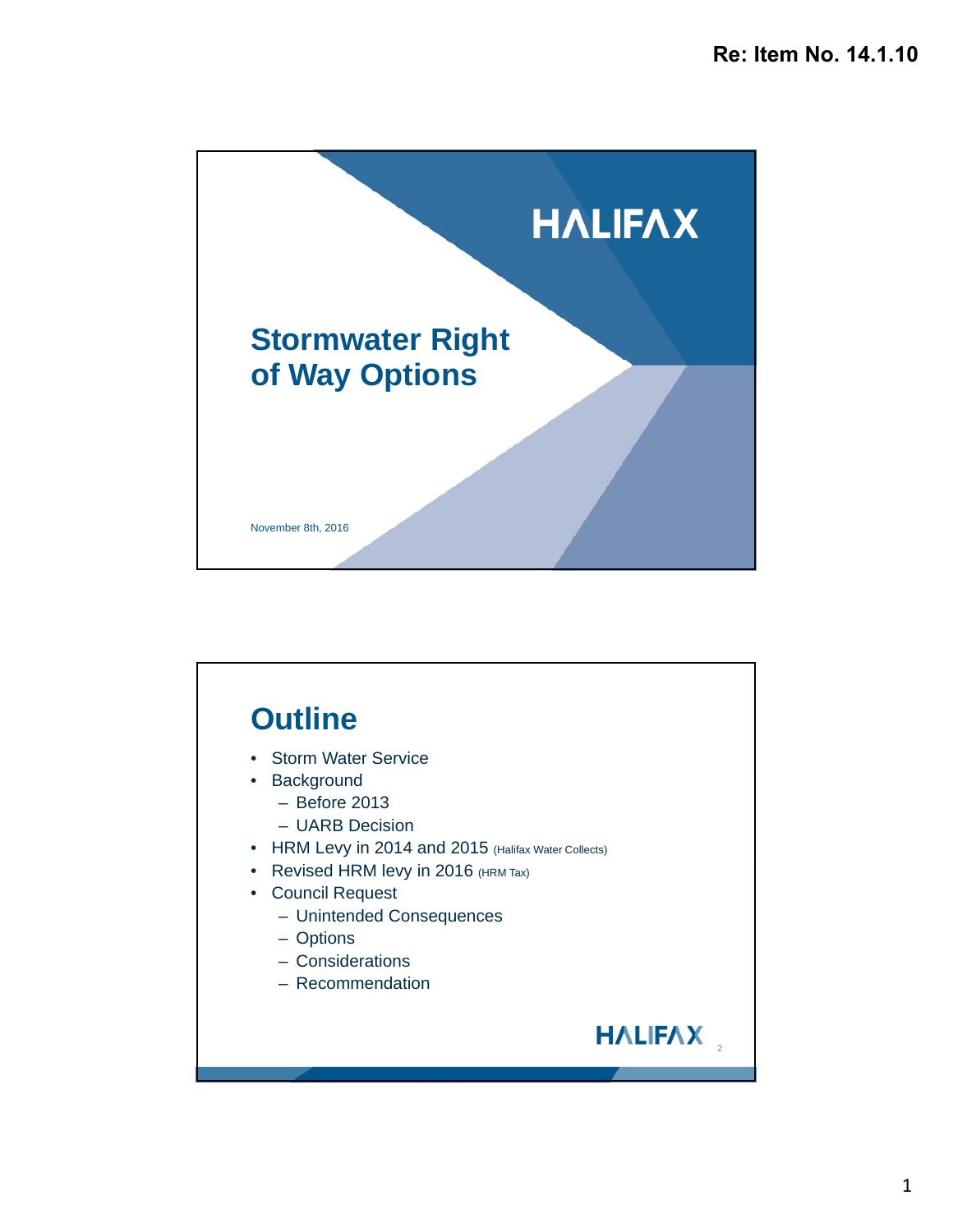

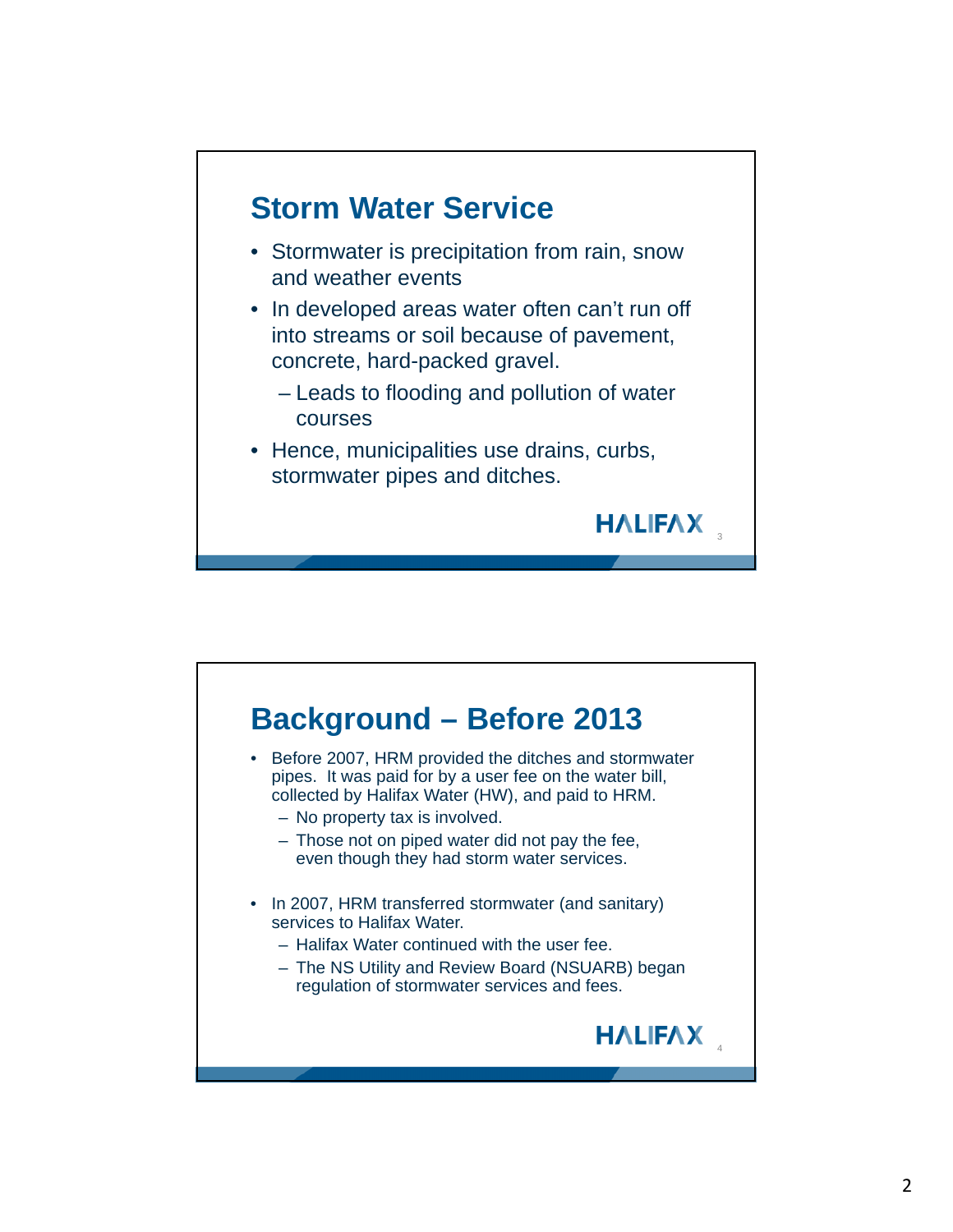

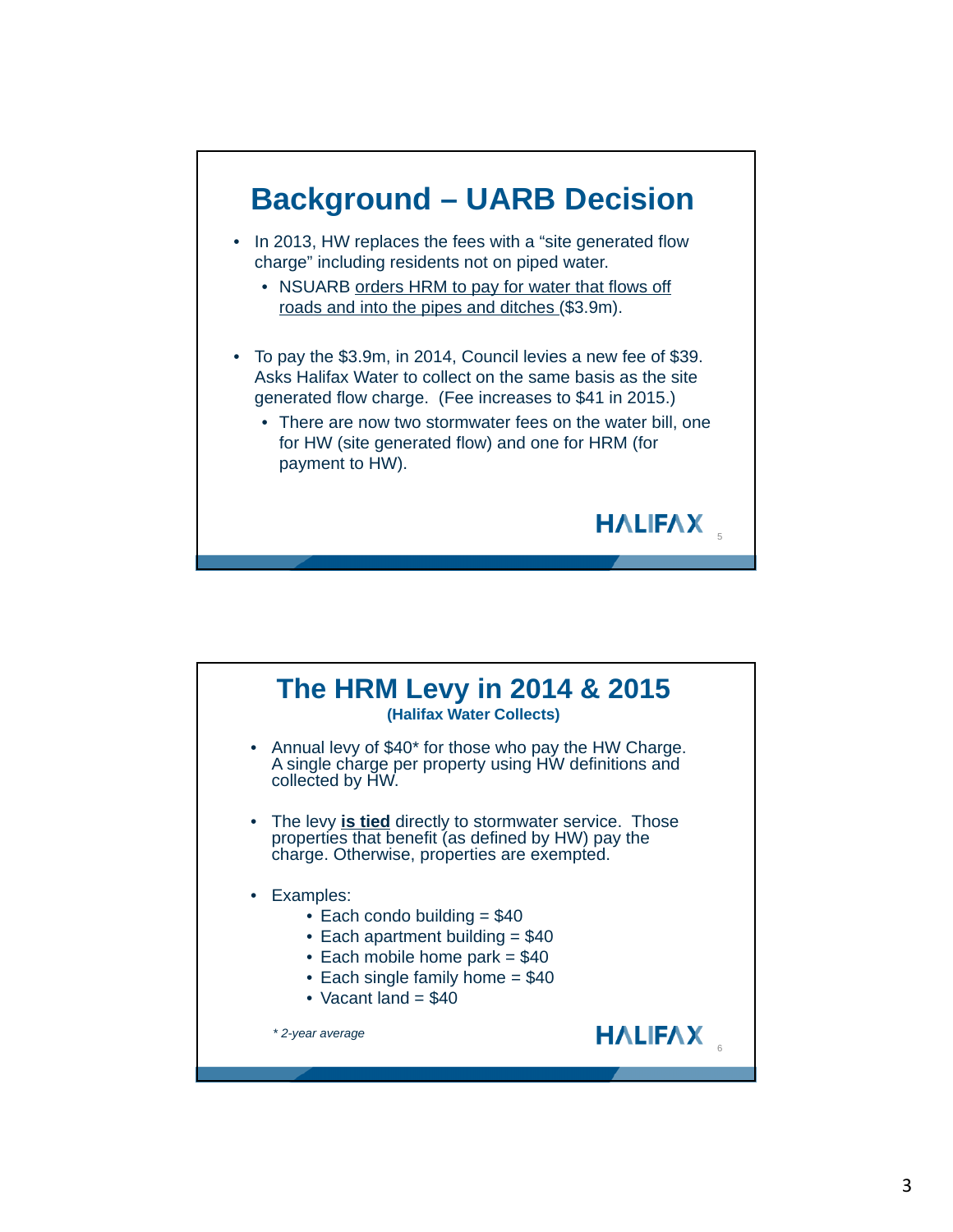

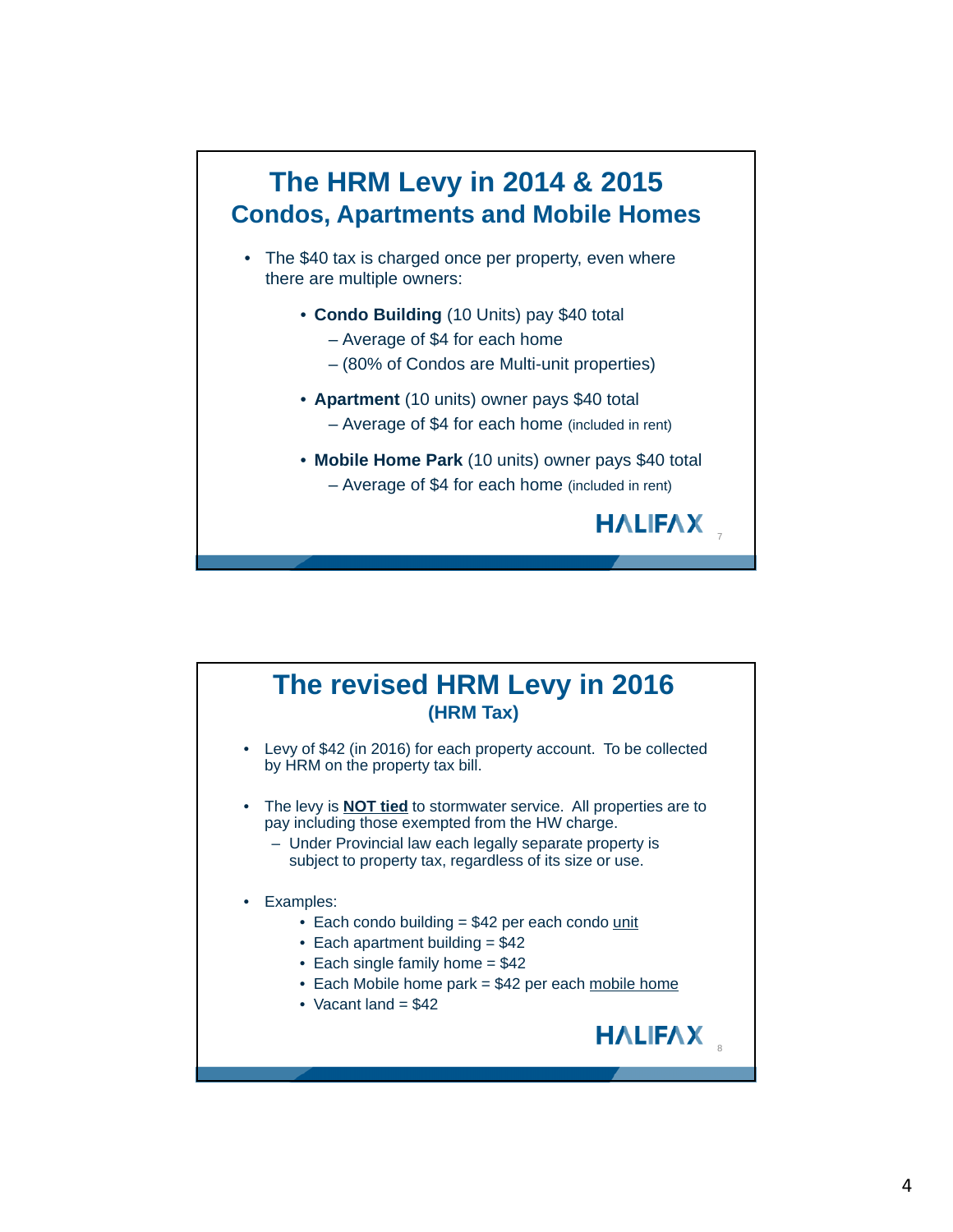## **The HRM Levy in 2014 & 2015 Condos, Apartments and Mobile Homes** • The \$40 tax is charged once per property, even where there are multiple owners: • **Condo Building** (10 Units) pay \$40 total – Average of \$4 for each home – (80% of Condos are Multi-unit properties) • **Apartment** (10 units) owner pays \$40 total – Average of \$4 for each home (included in rent) • **Mobile Home Park** (10 units) owner pays \$40 total – Average of \$4 for each home (included in rent) **HALIFAX** 7

## **The revised HRM Levy in 2016 (HRM Tax)**

- Levy of \$42 (in 2016) for each property account. To be collected by HRM on the property tax bill.
- The levy is **NOT tied** to stormwater service. All properties are to pay including those exempted from the HW charge.
	- Under Provincial law each legally separate property is subject to property tax, regardless of its size or use.

## • Examples:

- Each condo building = \$42 per each condo unit
- Each apartment building  $= $42$
- Each single family home = \$42
- Each Mobile home park = \$42 per each mobile home

**HALIFAX** 

• Vacant land  $= $42$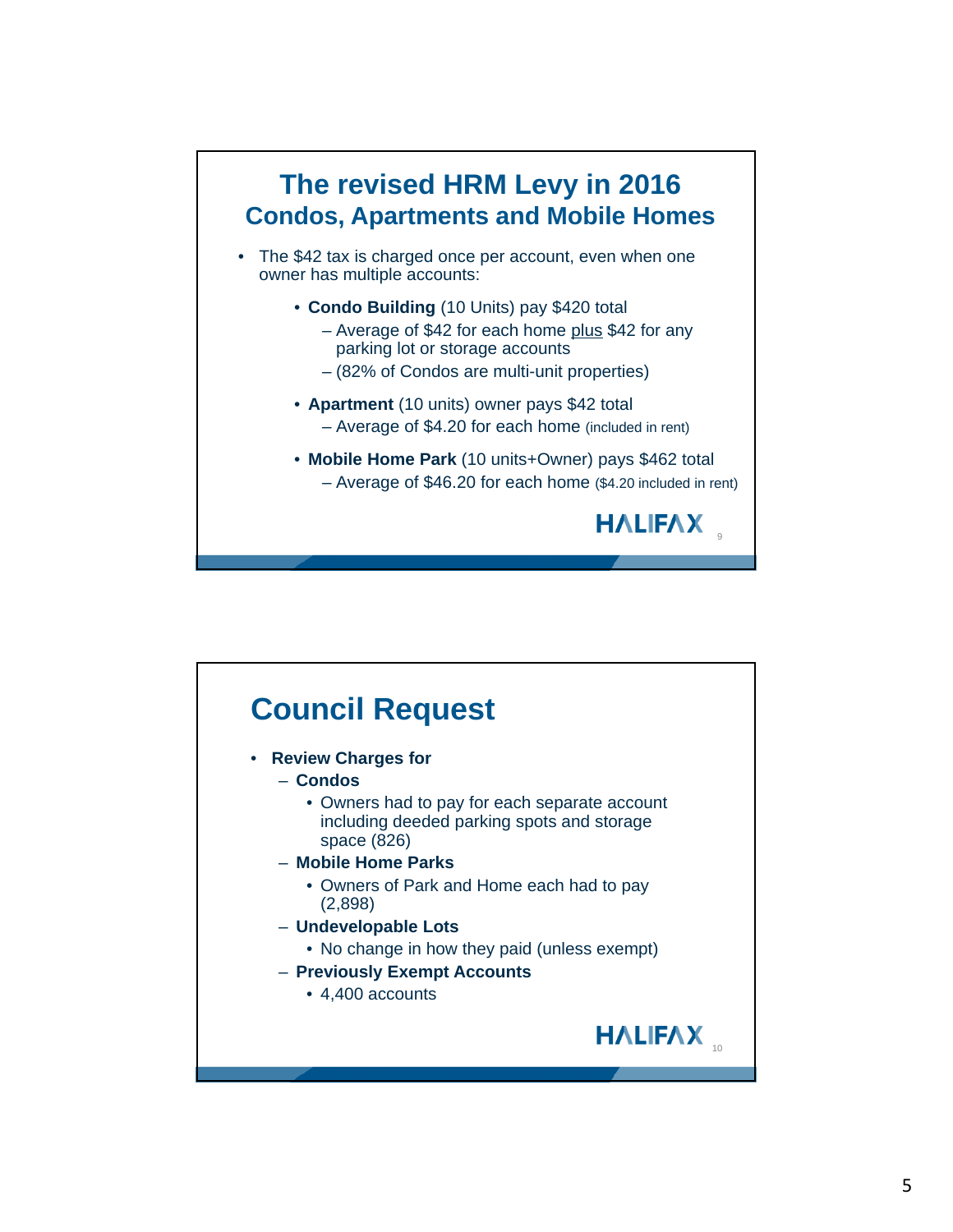

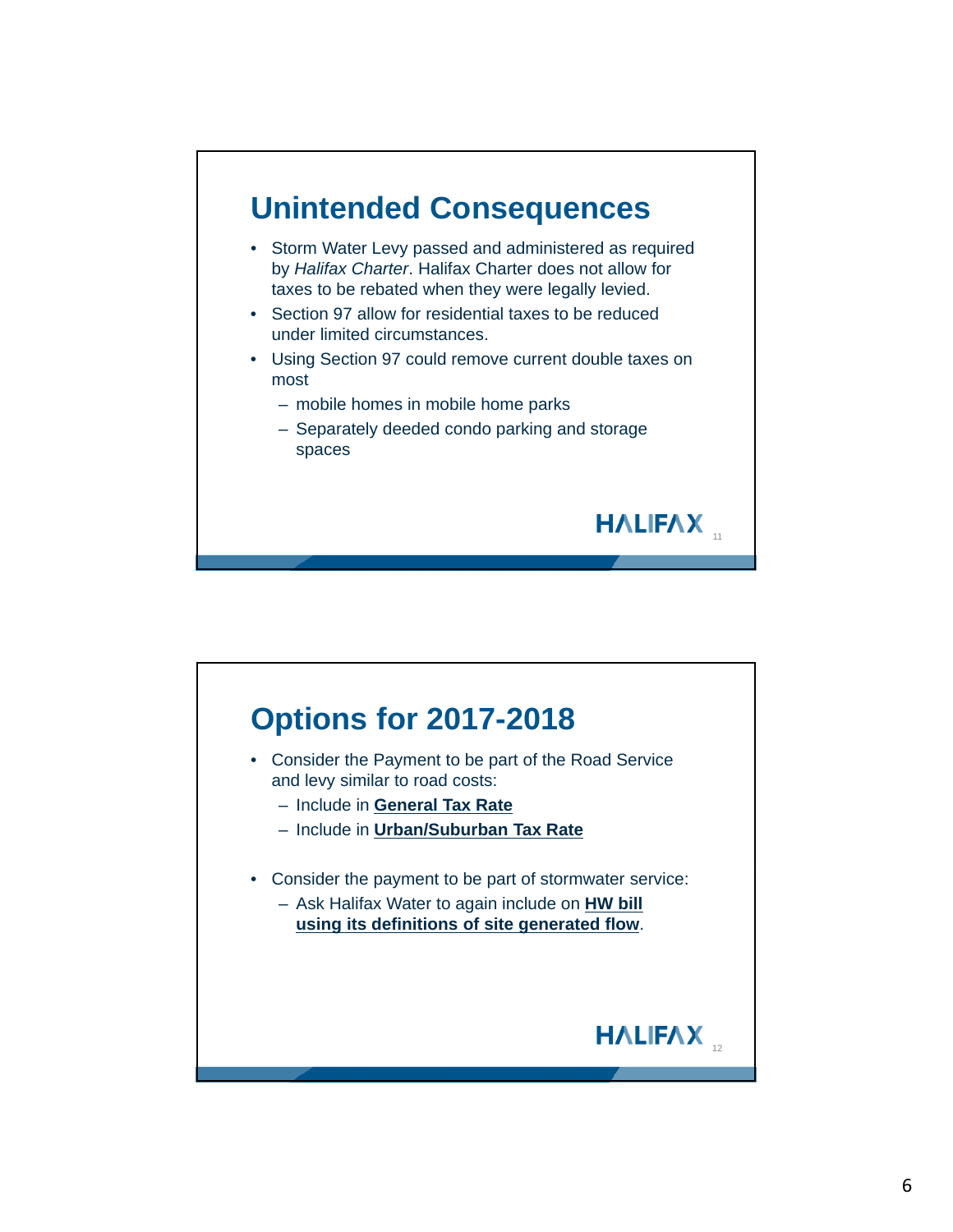

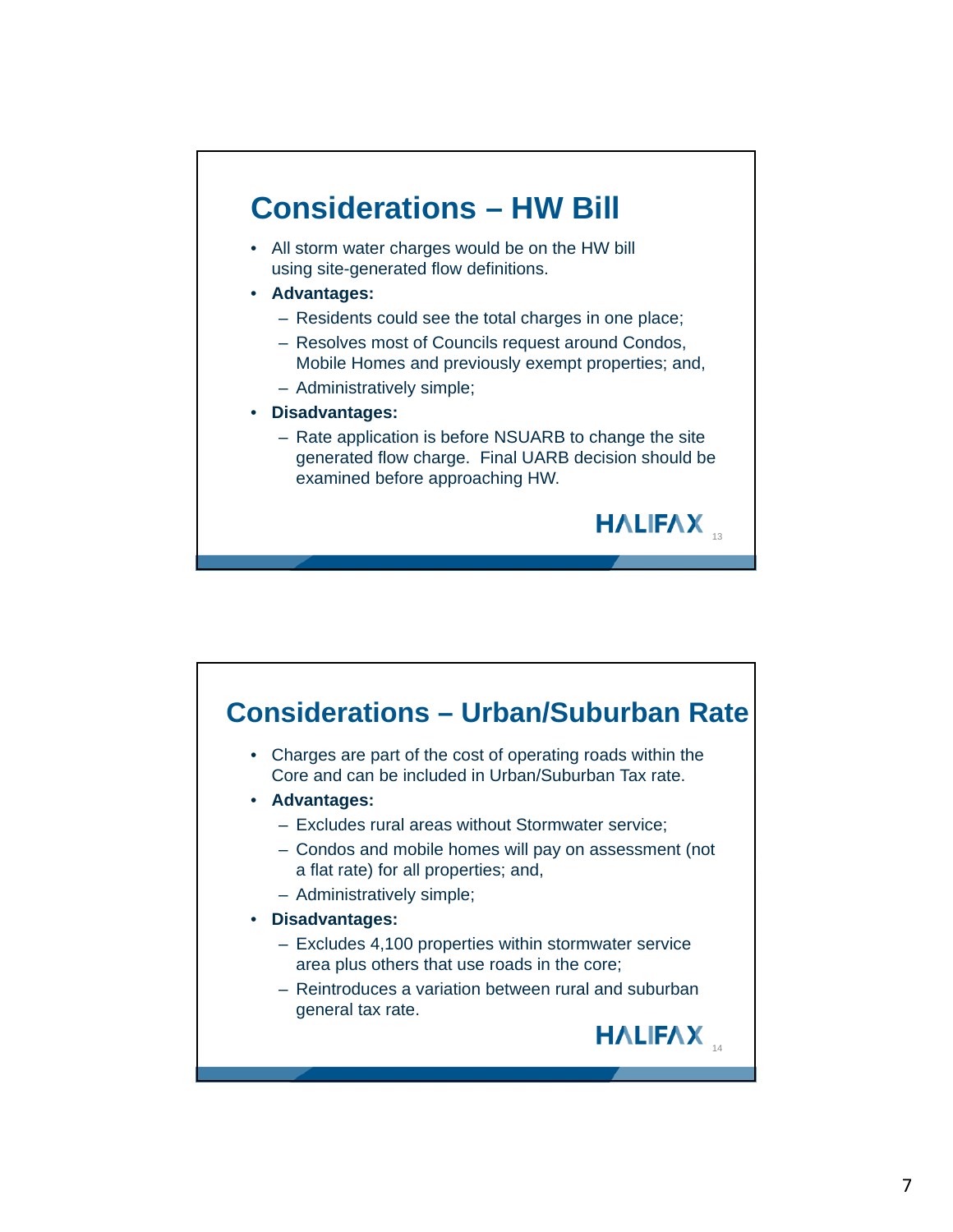